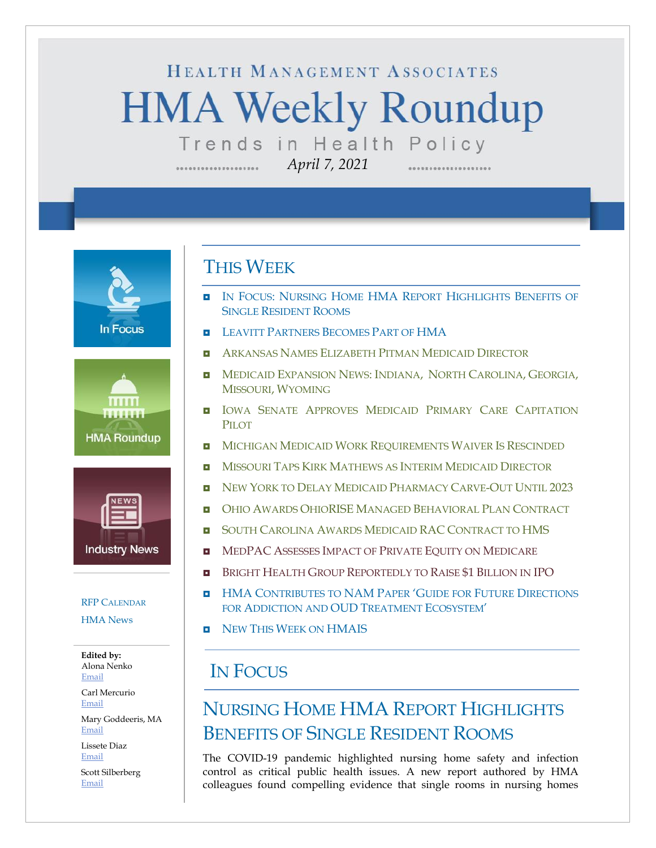# HEALTH MANAGEMENT ASSOCIATES **HMA Weekly Roundup** Trends in Health Policy

*April 7, 2021*

**In Focus** 





# [RFP C](#page-12-0)[ALENDAR](#page-12-0)

[HMA News](#page-13-1)

**Edited by:** Alona Nenko [Email](mailto:anenko@healthmanagement.com)

Carl Mercurio [Email](mailto:cmercurio@healthmanagement.com)

Mary Goddeeris, MA [Email](mailto:mgoddeeris@healthmanagement.com)

Lissete Diaz [Email](mailto:ldiaz@healthmanagement.com)

Scott Silberberg [Email](mailto:ssilberberg@healthmanagement.com)

### THIS WEEK

- **IN FOCUS: NURSING HOME HMA REPORT HIGHLIGHTS BENEFITS OF** SINGLE RESIDENT ROOMS
- **LEAVITT P[ARTNERS](#page-2-0) BECOMES PART OF HMA**
- ARKANSAS NAMES E[LIZABETH](#page-3-0) PITMAN MEDICAID DIRECTOR
- **INEDICAID E[XPANSION](#page-4-0) NEWS: INDIANA, NORTH CAROLINA, GEORGIA,** MISSOURI, W[YOMING](#page-4-0)
- **II** IOWA SENATE APPROVES MEDICAID PRIMARY CARE CAPITATION P<sub>IL</sub>OT
- **MICHIGAN MEDICAID WORK R[EQUIREMENTS](#page-5-0) WAIVER IS RESCINDED**
- **D** MISSOURI TAPS KIRK M[ATHEWS AS](#page-5-1) INTERIM MEDICAID DIRECTOR
- **D** NEW YORK TO DELAY MEDICAID P[HARMACY](#page-6-0) CARVE-OUT UNTIL 2023
- **D** OHIO AWARDS OHIORISE MANAGED B[EHAVIORAL](#page-6-1) PLAN CONTRACT
- **B** SOUTH CAROLINA AWARDS MEDICAID RAC C[ONTRACT TO](#page-7-0) HMS
- **E** MEDPAC ASSESSES I[MPACT OF](#page-10-0) PRIVATE EQUITY ON MEDICARE
- BRIGHT HEALTH GROUP R[EPORTEDLY TO](#page-10-0) RAISE \$1 BILLION IN IPO
- **HMA C[ONTRIBUTES TO](#page-13-0) NAM PAPER 'GUIDE FOR FUTURE DIRECTIONS** FOR A[DDICTION AND](#page-13-0) OUD TREATMENT ECOSYSTEM'
- **D** NEW THIS WEEK ON [HMAIS](#page-13-1)

# IN FOCUS

# NURSING HOME HMA REPORT HIGHLIGHTS BENEFITS OF SINGLE RESIDENT ROOMS

The COVID-19 pandemic highlighted nursing home safety and infection control as critical public health issues. A new report authored by HMA colleagues found compelling evidence that single rooms in nursing homes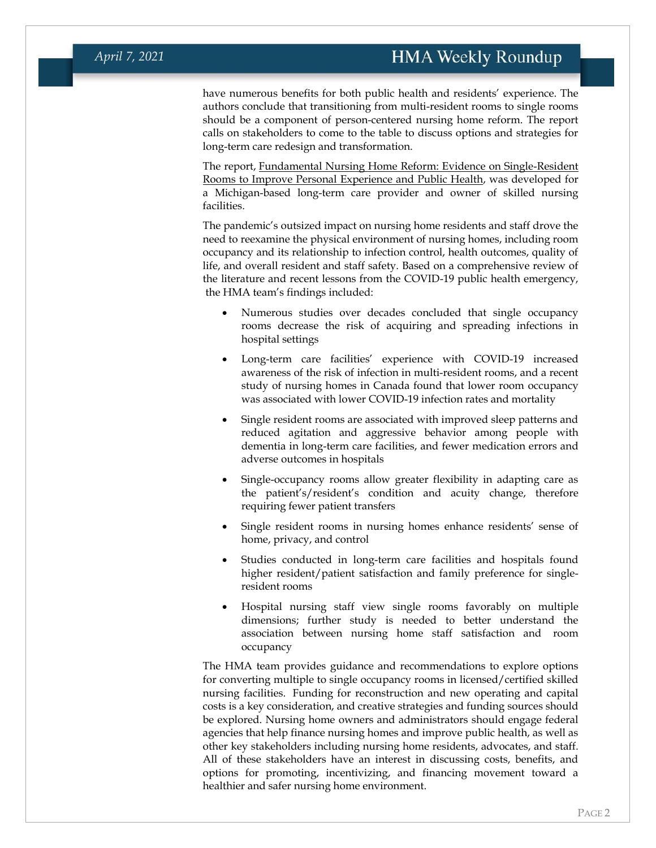have numerous benefits for both public health and residents' experience. The authors conclude that transitioning from multi-resident rooms to single rooms should be a component of person-centered nursing home reform. The report calls on stakeholders to come to the table to discuss options and strategies for long-term care redesign and transformation.

The report, [Fundamental Nursing Home Reform: Evidence on Single-Resident](https://www.healthmanagement.com/wp-content/uploads/HMA.Single-Resident-Rooms-3.22.2021_final.pdf)  [Rooms to Improve Personal Experience and Public Health,](https://www.healthmanagement.com/wp-content/uploads/HMA.Single-Resident-Rooms-3.22.2021_final.pdf) was developed for a Michigan-based long-term care provider and owner of skilled nursing facilities.

The pandemic's outsized impact on nursing home residents and staff drove the need to reexamine the physical environment of nursing homes, including room occupancy and its relationship to infection control, health outcomes, quality of life, and overall resident and staff safety. Based on a comprehensive review of the literature and recent lessons from the COVID-19 public health emergency, the HMA team's findings included:

- Numerous studies over decades concluded that single occupancy rooms decrease the risk of acquiring and spreading infections in hospital settings
- Long-term care facilities' experience with COVID-19 increased awareness of the risk of infection in multi-resident rooms, and a recent study of nursing homes in Canada found that lower room occupancy was associated with lower COVID-19 infection rates and mortality
- Single resident rooms are associated with improved sleep patterns and reduced agitation and aggressive behavior among people with dementia in long-term care facilities, and fewer medication errors and adverse outcomes in hospitals
- Single-occupancy rooms allow greater flexibility in adapting care as the patient's/resident's condition and acuity change, therefore requiring fewer patient transfers
- Single resident rooms in nursing homes enhance residents' sense of home, privacy, and control
- Studies conducted in long-term care facilities and hospitals found higher resident/patient satisfaction and family preference for singleresident rooms
- Hospital nursing staff view single rooms favorably on multiple dimensions; further study is needed to better understand the association between nursing home staff satisfaction and room occupancy

The HMA team provides guidance and recommendations to explore options for converting multiple to single occupancy rooms in licensed/certified skilled nursing facilities. Funding for reconstruction and new operating and capital costs is a key consideration, and creative strategies and funding sources should be explored. Nursing home owners and administrators should engage federal agencies that help finance nursing homes and improve public health, as well as other key stakeholders including nursing home residents, advocates, and staff. All of these stakeholders have an interest in discussing costs, benefits, and options for promoting, incentivizing, and financing movement toward a healthier and safer nursing home environment.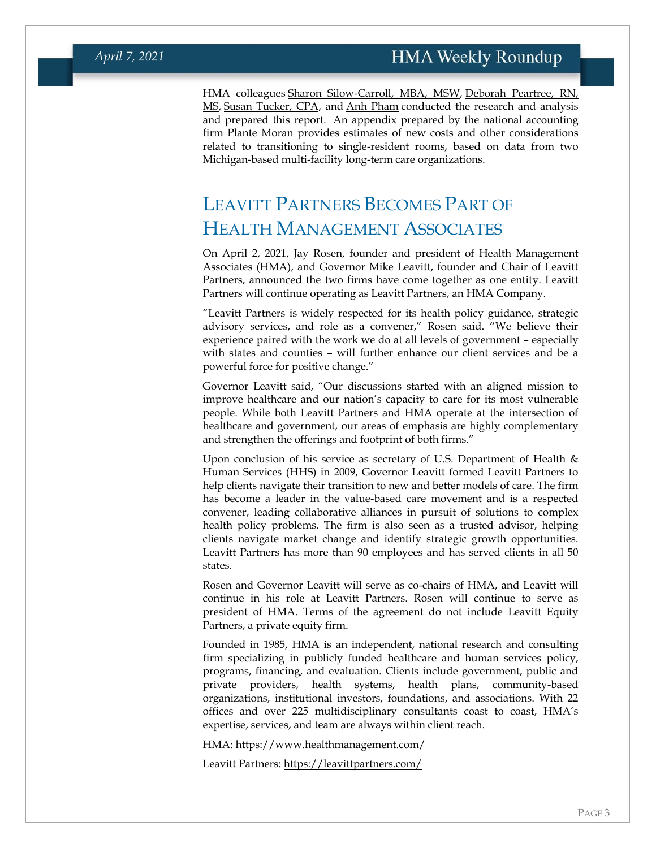HMA colleagues [Sharon Silow-Carroll, MBA,](https://www.healthmanagement.com/our-team/staff-directory/name/sharon-silow-carroll/) MSW, [Deborah Peartree, RN,](https://www.healthmanagement.com/our-team/staff-directory/name/deb-peartree/)  [MS,](https://www.healthmanagement.com/our-team/staff-directory/name/deb-peartree/) [Susan Tucker, CPA,](https://www.healthmanagement.com/our-team/staff-directory/name/susan-tucker/) and [Anh Pham](https://www.healthmanagement.com/our-team/staff-directory/name/anh-pham/) conducted the research and analysis and prepared this report. An appendix prepared by the national accounting firm Plante Moran provides estimates of new costs and other considerations related to transitioning to single-resident rooms, based on data from two Michigan-based multi-facility long-term care organizations.

# <span id="page-2-0"></span>LEAVITT PARTNERS BECOMES PART OF HEALTH MANAGEMENT ASSOCIATES

On April 2, 2021, Jay Rosen, founder and president of Health Management Associates (HMA), and Governor Mike Leavitt, founder and Chair of Leavitt Partners, announced the two firms have come together as one entity. Leavitt Partners will continue operating as Leavitt Partners, an HMA Company.

"Leavitt Partners is widely respected for its health policy guidance, strategic advisory services, and role as a convener," Rosen said. "We believe their experience paired with the work we do at all levels of government – especially with states and counties – will further enhance our client services and be a powerful force for positive change."

Governor Leavitt said, "Our discussions started with an aligned mission to improve healthcare and our nation's capacity to care for its most vulnerable people. While both Leavitt Partners and HMA operate at the intersection of healthcare and government, our areas of emphasis are highly complementary and strengthen the offerings and footprint of both firms."

Upon conclusion of his service as secretary of U.S. Department of Health  $\&$ Human Services (HHS) in 2009, Governor Leavitt formed Leavitt Partners to help clients navigate their transition to new and better models of care. The firm has become a leader in the value-based care movement and is a respected convener, leading collaborative alliances in pursuit of solutions to complex health policy problems. The firm is also seen as a trusted advisor, helping clients navigate market change and identify strategic growth opportunities. Leavitt Partners has more than 90 employees and has served clients in all 50 states.

Rosen and Governor Leavitt will serve as co-chairs of HMA, and Leavitt will continue in his role at Leavitt Partners. Rosen will continue to serve as president of HMA. Terms of the agreement do not include Leavitt Equity Partners, a private equity firm.

Founded in 1985, HMA is an independent, national research and consulting firm specializing in publicly funded healthcare and human services policy, programs, financing, and evaluation. Clients include government, public and private providers, health systems, health plans, community-based organizations, institutional investors, foundations, and associations. With 22 offices and over 225 multidisciplinary consultants coast to coast, HMA's expertise, services, and team are always within client reach.

HMA: <https://www.healthmanagement.com/>

Leavitt Partners: <https://leavittpartners.com/>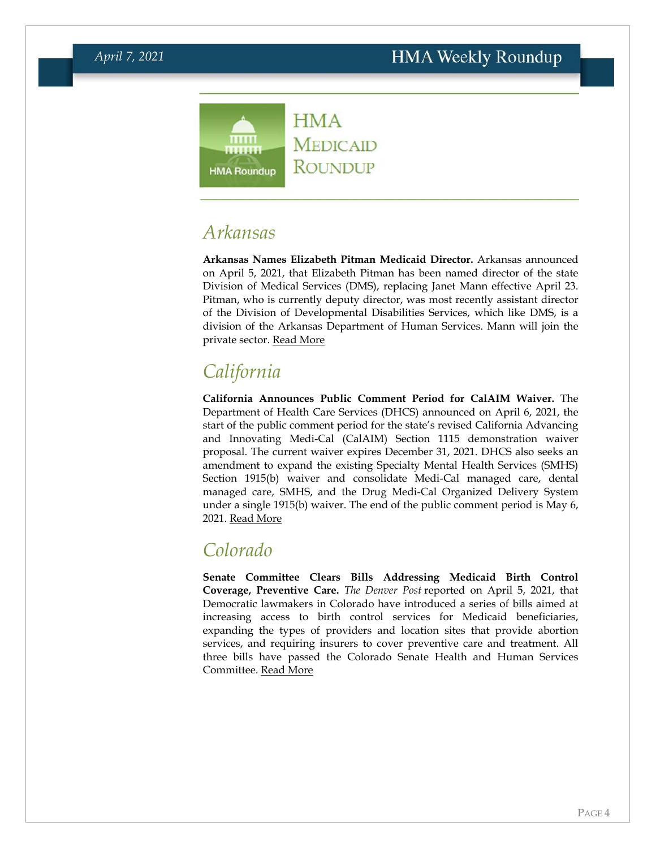

### <span id="page-3-0"></span>*Arkansas*

**Arkansas Names Elizabeth Pitman Medicaid Director.** Arkansas announced on April 5, 2021, that Elizabeth Pitman has been named director of the state Division of Medical Services (DMS), replacing Janet Mann effective April 23. Pitman, who is currently deputy director, was most recently assistant director of the Division of Developmental Disabilities Services, which like DMS, is a division of the Arkansas Department of Human Services. Mann will join the private sector. [Read More](http://view.comms.dhs.arkansas.gov/?qs=3c7fb1d6e5633f18cf632cb484639a995ffeedc185d32235146ae8ea4c15a8daa87b044de5337ef5e7d3d2c1d3b847fcc7f45e68f5bdd6ba14428cbce30401b2a91e40e3ee7577b9)

# *California*

**California Announces Public Comment Period for CalAIM Waiver.** The Department of Health Care Services (DHCS) announced on April 6, 2021, the start of the public comment period for the state's revised California Advancing and Innovating Medi-Cal (CalAIM) Section 1115 demonstration waiver proposal. The current waiver expires December 31, 2021. DHCS also seeks an amendment to expand the existing Specialty Mental Health Services (SMHS) Section 1915(b) waiver and consolidate Medi-Cal managed care, dental managed care, SMHS, and the Drug Medi-Cal Organized Delivery System under a single 1915(b) waiver. The end of the public comment period is May 6, 2021. [Read More](https://www.dhcs.ca.gov/provgovpart/Pages/CalAIM-1115-and-1915b-Waiver-Renewals.aspx)

### *Colorado*

**Senate Committee Clears Bills Addressing Medicaid Birth Control Coverage, Preventive Care.** *The Denver Post* reported on April 5, 2021, that Democratic lawmakers in Colorado have introduced a series of bills aimed at increasing access to birth control services for Medicaid beneficiaries, expanding the types of providers and location sites that provide abortion services, and requiring insurers to cover preventive care and treatment. All three bills have passed the Colorado Senate Health and Human Services Committee. [Read More](https://www.denverpost.com/2021/04/05/birth-control-abortion-colorado-legislature-reproductive-health/)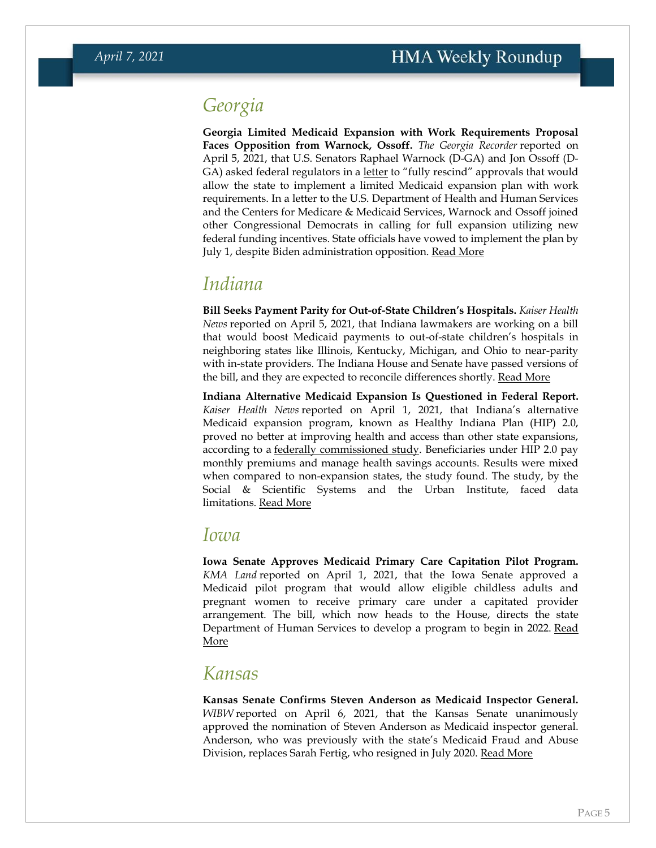## *Georgia*

**Georgia Limited Medicaid Expansion with Work Requirements Proposal Faces Opposition from Warnock, Ossoff.** *The Georgia Recorder* reported on April 5, 2021, that U.S. Senators Raphael Warnock (D-GA) and Jon Ossoff (D-GA) asked federal regulators in a [letter](https://www.warnock.senate.gov/press-releases/medicaid-waiver-letter-senator-reverend-warnock-and-georgia-delegation-letter-to-secretary-xavier-becerra/) to "fully rescind" approvals that would allow the state to implement a limited Medicaid expansion plan with work requirements. In a letter to the U.S. Department of Health and Human Services and the Centers for Medicare & Medicaid Services, Warnock and Ossoff joined other Congressional Democrats in calling for full expansion utilizing new federal funding incentives. State officials have vowed to implement the plan by July 1, despite Biden administration opposition. [Read More](https://georgiarecorder.com/brief/georgias-congressional-dems-urge-biden-to-scrap-states-medicaid-plan/)

#### <span id="page-4-0"></span>*Indiana*

**Bill Seeks Payment Parity for Out-of-State Children's Hospitals.** *Kaiser Health News* reported on April 5, 2021, that Indiana lawmakers are working on a bill that would boost Medicaid payments to out-of-state children's hospitals in neighboring states like Illinois, Kentucky, Michigan, and Ohio to near-parity with in-state providers. The Indiana House and Senate have passed versions of the bill, and they are expected to reconcile differences shortly. [Read More](https://khn.org/news/article/families-with-sick-kids-on-medicaid-seek-easier-access-to-out-of-state-hospitals/)

**Indiana Alternative Medicaid Expansion Is Questioned in Federal Report.**  *Kaiser Health News* reported on April 1, 2021, that Indiana's alternative Medicaid expansion program, known as Healthy Indiana Plan (HIP) 2.0, proved no better at improving health and access than other state expansions, according to a [federally commissioned study.](https://www.medicaid.gov/medicaid/section-1115-demonstrations/downloads/summative-eval-rpt-indiana-2020.pdf) Beneficiaries under HIP 2.0 pay monthly premiums and manage health savings accounts. Results were mixed when compared to non-expansion states, the study found. The study, by the Social & Scientific Systems and the Urban Institute, faced data limitations. [Read More](https://khn.org/news/article/indianas-medicaid-expansion-designed-by-pence-and-verma-panned-in-federal-report/)

#### <span id="page-4-1"></span>*Iowa*

**Iowa Senate Approves Medicaid Primary Care Capitation Pilot Program.**  *KMA Land* reported on April 1, 2021, that the Iowa Senate approved a Medicaid pilot program that would allow eligible childless adults and pregnant women to receive primary care under a capitated provider arrangement. The bill, which now heads to the House, directs the state Department of Human Services to develop a program to begin in 2022. Read [More](https://www.kmaland.com/news/iowa-senate-approves-pilot-program-allowing-medicaid-recipients-to-have-direct-primary-care-agreements/article_0b368992-9232-11eb-b447-bb83e3b93d40.html)

#### *Kansas*

**Kansas Senate Confirms Steven Anderson as Medicaid Inspector General.** *WIBW* reported on April 6, 2021, that the Kansas Senate unanimously approved the nomination of Steven Anderson as Medicaid inspector general. Anderson, who was previously with the state's Medicaid Fraud and Abuse Division, replaces Sarah Fertig, who resigned in July 2020. [Read More](https://www.wibw.com/2021/04/06/kansas-senate-approves-next-medicaid-inspector-general/)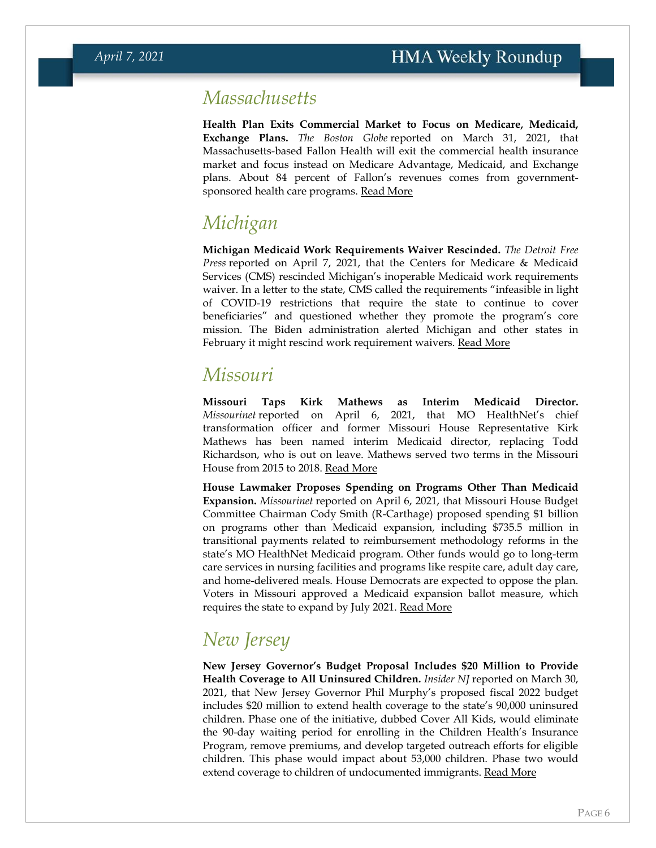#### *Massachusetts*

**Health Plan Exits Commercial Market to Focus on Medicare, Medicaid, Exchange Plans.** *The Boston Globe* reported on March 31, 2021, that Massachusetts-based Fallon Health will exit the commercial health insurance market and focus instead on Medicare Advantage, Medicaid, and Exchange plans. About 84 percent of Fallon's revenues comes from governmentsponsored health care programs. [Read More](https://www.bostonglobe.com/2021/03/31/business/fallon-health-leave-commercial-insurance-market/)

## <span id="page-5-0"></span>*Michigan*

**Michigan Medicaid Work Requirements Waiver Rescinded.** *The Detroit Free Press* reported on April 7, 2021, that the Centers for Medicare & Medicaid Services (CMS) rescinded Michigan's inoperable Medicaid work requirements waiver. In a letter to the state, CMS called the requirements "infeasible in light of COVID-19 restrictions that require the state to continue to cover beneficiaries" and questioned whether they promote the program's core mission. The Biden administration alerted Michigan and other states in February it might rescind work requirement waivers. [Read More](https://www.freep.com/story/news/local/michigan/2021/04/07/michigan-medicaid-work-requirement-revoked/7117611002/)

#### <span id="page-5-1"></span>*Missouri*

**Missouri Taps Kirk Mathews as Interim Medicaid Director.**  *Missourinet* reported on April 6, 2021, that MO HealthNet's chief transformation officer and former Missouri House Representative Kirk Mathews has been named interim Medicaid director, replacing Todd Richardson, who is out on leave. Mathews served two terms in the Missouri House from 2015 to 2018. [Read More](https://www.missourinet.com/2021/04/06/missouris-house-budget-committee-chair-outlines-alternative-to-medicaid-expansion-kirk-mathews-is-acting-medicaid-director/)

**House Lawmaker Proposes Spending on Programs Other Than Medicaid Expansion.** *Missourinet* reported on April 6, 2021, that Missouri House Budget Committee Chairman Cody Smith (R-Carthage) proposed spending \$1 billion on programs other than Medicaid expansion, including \$735.5 million in transitional payments related to reimbursement methodology reforms in the state's MO HealthNet Medicaid program. Other funds would go to long-term care services in nursing facilities and programs like respite care, adult day care, and home-delivered meals. House Democrats are expected to oppose the plan. Voters in Missouri approved a Medicaid expansion ballot measure, which requires the state to expand by July 2021. [Read More](https://www.missourinet.com/2021/04/06/missouris-house-budget-committee-chair-outlines-alternative-to-medicaid-expansion-kirk-mathews-is-acting-medicaid-director/)

# *New Jersey*

**New Jersey Governor's Budget Proposal Includes \$20 Million to Provide Health Coverage to All Uninsured Children.** *Insider NJ* reported on March 30, 2021, that New Jersey Governor Phil Murphy's proposed fiscal 2022 budget includes \$20 million to extend health coverage to the state's 90,000 uninsured children. Phase one of the initiative, dubbed Cover All Kids, would eliminate the 90-day waiting period for enrolling in the Children Health's Insurance Program, remove premiums, and develop targeted outreach efforts for eligible children. This phase would impact about 53,000 children. Phase two would extend coverage to children of undocumented immigrants. [Read More](https://www.insidernj.com/press-release/murphy-highlights-cover-kids-initiative-provide-new-jersey-kids-health-insurance/)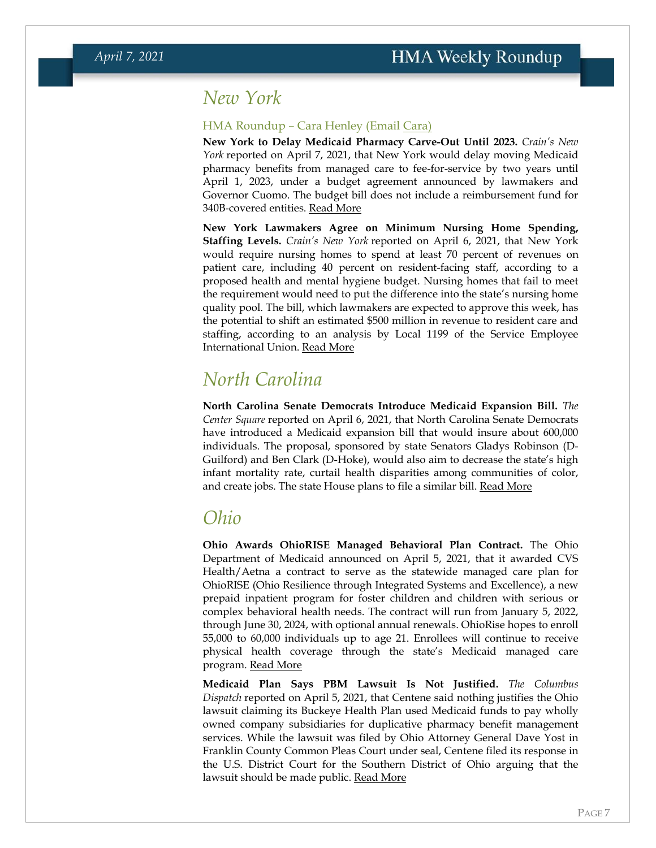#### <span id="page-6-0"></span>*New York*

#### HMA Roundup – Cara Henley (Email [Cara\)](mailto:chenley@healthmanagement.com)

**New York to Delay Medicaid Pharmacy Carve-Out Until 2023.** *Crain's New York* reported on April 7, 2021, that New York would delay moving Medicaid pharmacy benefits from managed care to fee-for-service by two years until April 1, 2023, under a budget agreement announced by lawmakers and Governor Cuomo. The budget bill does not include a reimbursement fund for 340B-covered entities. [Read More](https://www.crainsnewyork.com/health-pulse/pharmacy-benefit-carve-outs-2-year-delay-buys-opponents-time-repeal)

**New York Lawmakers Agree on Minimum Nursing Home Spending, Staffing Levels.** *Crain's New York* reported on April 6, 2021, that New York would require nursing homes to spend at least 70 percent of revenues on patient care, including 40 percent on resident-facing staff, according to a proposed health and mental hygiene budget. Nursing homes that fail to meet the requirement would need to put the difference into the state's nursing home quality pool. The bill, which lawmakers are expected to approve this week, has the potential to shift an estimated \$500 million in revenue to resident care and staffing, according to an analysis by Local 1199 of the Service Employee International Union. [Read More](https://www.crainsnewyork.com/health-pulse/state-budget-bill-details-nursing-home-spending-mandates)

### *North Carolina*

**North Carolina Senate Democrats Introduce Medicaid Expansion Bill.** *The Center Square* reported on April 6, 2021, that North Carolina Senate Democrats have introduced a Medicaid expansion bill that would insure about 600,000 individuals. The proposal, sponsored by state Senators Gladys Robinson (D-Guilford) and Ben Clark (D-Hoke), would also aim to decrease the state's high infant mortality rate, curtail health disparities among communities of color, and create jobs. The state House plans to file a similar bill. [Read More](https://www.thecentersquare.com/north_carolina/north-carolina-democrats-launch-new-effort-to-expand-medicaid/article_6073389a-96fd-11eb-b013-cf7294abef1b.html)

#### <span id="page-6-1"></span>*Ohio*

**Ohio Awards OhioRISE Managed Behavioral Plan Contract.** The Ohio Department of Medicaid announced on April 5, 2021, that it awarded CVS Health/Aetna a contract to serve as the statewide managed care plan for OhioRISE (Ohio Resilience through Integrated Systems and Excellence), a new prepaid inpatient program for foster children and children with serious or complex behavioral health needs. The contract will run from January 5, 2022, through June 30, 2024, with optional annual renewals. OhioRise hopes to enroll 55,000 to 60,000 individuals up to age 21. Enrollees will continue to receive physical health coverage through the state's Medicaid managed care program. [Read More](https://medicaid.ohio.gov/Portals/0/Press%20Releases/OhioRISE-Award-Press-Release_4-5-21-FINAL.pdf)

**Medicaid Plan Says PBM Lawsuit Is Not Justified.** *The Columbus Dispatch* reported on April 5, 2021, that Centene said nothing justifies the Ohio lawsuit claiming its Buckeye Health Plan used Medicaid funds to pay wholly owned company subsidiaries for duplicative pharmacy benefit management services. While the lawsuit was filed by Ohio Attorney General Dave Yost in Franklin County Common Pleas Court under seal, Centene filed its response in the U.S. District Court for the Southern District of Ohio arguing that the lawsuit should be made public. [Read More](https://www.dispatch.com/story/news/2021/04/05/health-care-colossus-centene-dismissal-ohio-pbm-lawsuit-dave-yost-medicaid/7088381002/)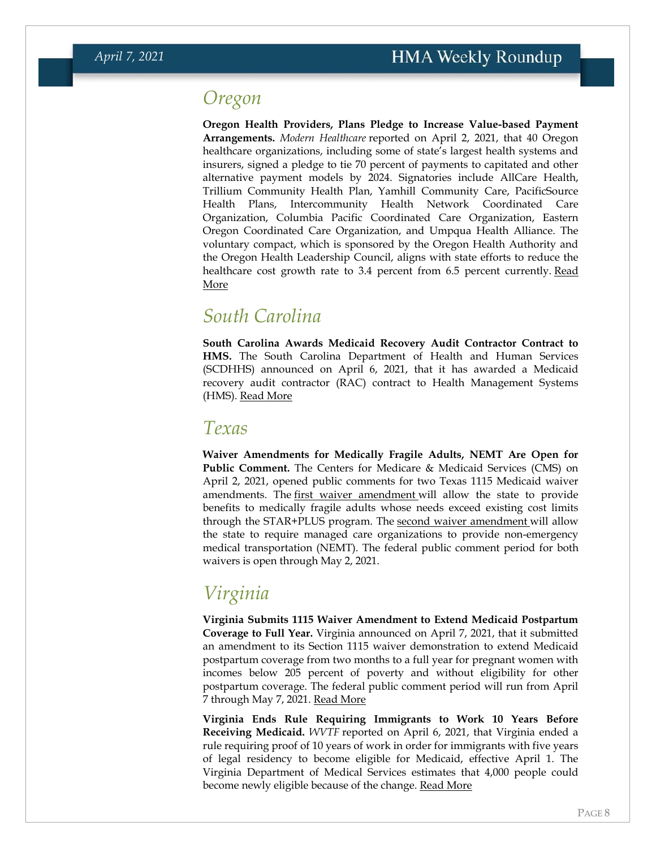#### *Oregon*

**Oregon Health Providers, Plans Pledge to Increase Value-based Payment Arrangements.** *Modern Healthcare* reported on April 2, 2021, that 40 Oregon healthcare organizations, including some of state's largest health systems and insurers, signed a pledge to tie 70 percent of payments to capitated and other alternative payment models by 2024. Signatories include AllCare Health, Trillium Community Health Plan, Yamhill Community Care, PacificSource Health Plans, Intercommunity Health Network Coordinated Care Organization, Columbia Pacific Coordinated Care Organization, Eastern Oregon Coordinated Care Organization, and Umpqua Health Alliance. The voluntary compact, which is sponsored by the Oregon Health Authority and the Oregon Health Leadership Council, aligns with state efforts to reduce the healthcare cost growth rate to 3.4 percent from 6.5 percent currently. Read [More](https://www.modernhealthcare.com/payment/40-oregon-providers-insurers-sign-value-based-care-pact)

#### <span id="page-7-0"></span>*South Carolina*

**South Carolina Awards Medicaid Recovery Audit Contractor Contract to HMS.** The South Carolina Department of Health and Human Services (SCDHHS) announced on April 6, 2021, that it has awarded a Medicaid recovery audit contractor (RAC) contract to Health Management Systems (HMS). [Read More](https://content.govdelivery.com/accounts/SCDHHS/bulletins/2cb0396)

#### *Texas*

**Waiver Amendments for Medically Fragile Adults, NEMT Are Open for Public Comment.** The Centers for Medicare & Medicaid Services (CMS) on April 2, 2021, opened public comments for two Texas 1115 Medicaid waiver amendments. The [first waiver amendment](https://content.govdelivery.com/accounts/USCMSMEDICAID/bulletins/2cafb5a) will allow the state to provide benefits to medically fragile adults whose needs exceed existing cost limits through the STAR+PLUS program. The [second waiver amendment](https://content.govdelivery.com/accounts/USCMSMEDICAID/bulletins/2caf909) will allow the state to require managed care organizations to provide non-emergency medical transportation (NEMT). The federal public comment period for both waivers is open through May 2, 2021.

# *Virginia*

**Virginia Submits 1115 Waiver Amendment to Extend Medicaid Postpartum Coverage to Full Year.** Virginia announced on April 7, 2021, that it submitted an amendment to its Section 1115 waiver demonstration to extend Medicaid postpartum coverage from two months to a full year for pregnant women with incomes below 205 percent of poverty and without eligibility for other postpartum coverage. The federal public comment period will run from April 7 through May 7, 2021. [Read More](https://content.govdelivery.com/accounts/USCMSMEDICAID/bulletins/2cbb2ce)

**Virginia Ends Rule Requiring Immigrants to Work 10 Years Before Receiving Medicaid.** *WVTF* reported on April 6, 2021, that Virginia ended a rule requiring proof of 10 years of work in order for immigrants with five years of legal residency to become eligible for Medicaid, effective April 1. The Virginia Department of Medical Services estimates that 4,000 people could become newly eligible because of the change. <u>[Read More](https://www.wvtf.org/post/virginia-eliminates-immigrants-work-requirement-medicaid#stream/0)</u>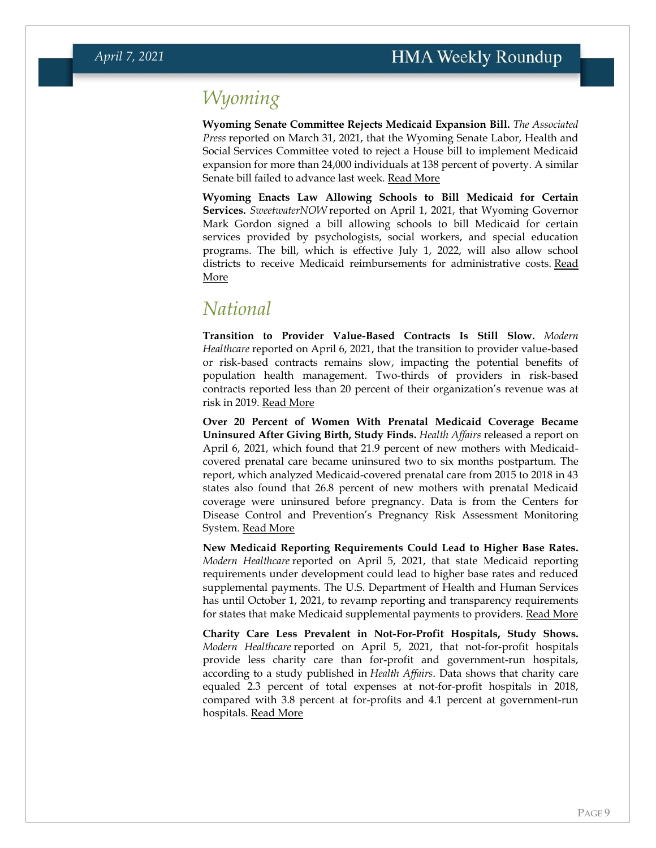# *Wyoming*

**Wyoming Senate Committee Rejects Medicaid Expansion Bill.** *The Associated Press* reported on March 31, 2021, that the Wyoming Senate Labor, Health and Social Services Committee voted to reject a House bill to implement Medicaid expansion for more than 24,000 individuals at 138 percent of poverty. A similar Senate bill failed to advance last week. [Read More](https://apnews.com/article/wyoming-financial-markets-medicaid-cheyenne-national-debt-a1d78180025239c91b46a6cf8cdec875)

**Wyoming Enacts Law Allowing Schools to Bill Medicaid for Certain Services.** *SweetwaterNOW* reported on April 1, 2021, that Wyoming Governor Mark Gordon signed a bill allowing schools to bill Medicaid for certain services provided by psychologists, social workers, and special education programs. The bill, which is effective July 1, 2022, will also allow school districts to receive Medicaid reimbursements for administrative costs. Read [More](https://www.sweetwaternow.com/governor-signs-school-based-medicaid-bill/)

### *National*

**Transition to Provider Value-Based Contracts Is Still Slow.** *Modern Healthcare* reported on April 6, 2021, that the transition to provider value-based or risk-based contracts remains slow, impacting the potential benefits of population health management. Two-thirds of providers in risk-based contracts reported less than 20 percent of their organization's revenue was at risk in 2019. [Read More](https://www.modernhealthcare.com/finance/population-health-still-odds-fee-service)

**Over 20 Percent of Women With Prenatal Medicaid Coverage Became Uninsured After Giving Birth, Study Finds.** *Health Affairs* released a report on April 6, 2021, which found that 21.9 percent of new mothers with Medicaidcovered prenatal care became uninsured two to six months postpartum. The report, which analyzed Medicaid-covered prenatal care from 2015 to 2018 in 43 states also found that 26.8 percent of new mothers with prenatal Medicaid coverage were uninsured before pregnancy. Data is from the Centers for Disease Control and Prevention's Pregnancy Risk Assessment Monitoring System. [Read More](https://www.healthaffairs.org/doi/suppl/10.1377/hlthaff.2020.01678)

**New Medicaid Reporting Requirements Could Lead to Higher Base Rates.**  *Modern Healthcare* reported on April 5, 2021, that state Medicaid reporting requirements under development could lead to higher base rates and reduced supplemental payments. The U.S. Department of Health and Human Services has until October 1, 2021, to revamp reporting and transparency requirements for states that make Medicaid supplemental payments to providers. [Read More](https://www.modernhealthcare.com/medicaid/changes-medicaid-supplemental-payments-could-follow-new-state-reporting-requirements)

**Charity Care Less Prevalent in Not-For-Profit Hospitals, Study Shows.**  *Modern Healthcare* reported on April 5, 2021, that not-for-profit hospitals provide less charity care than for-profit and government-run hospitals, according to a study published in *Health Affairs*. Data shows that charity care equaled 2.3 percent of total expenses at not-for-profit hospitals in 2018, compared with 3.8 percent at for-profits and 4.1 percent at government-run hospitals. [Read More](https://www.modernhealthcare.com/not-profit-hospitals/not-profit-hospitals-spend-less-charity-care-profit-public-providers)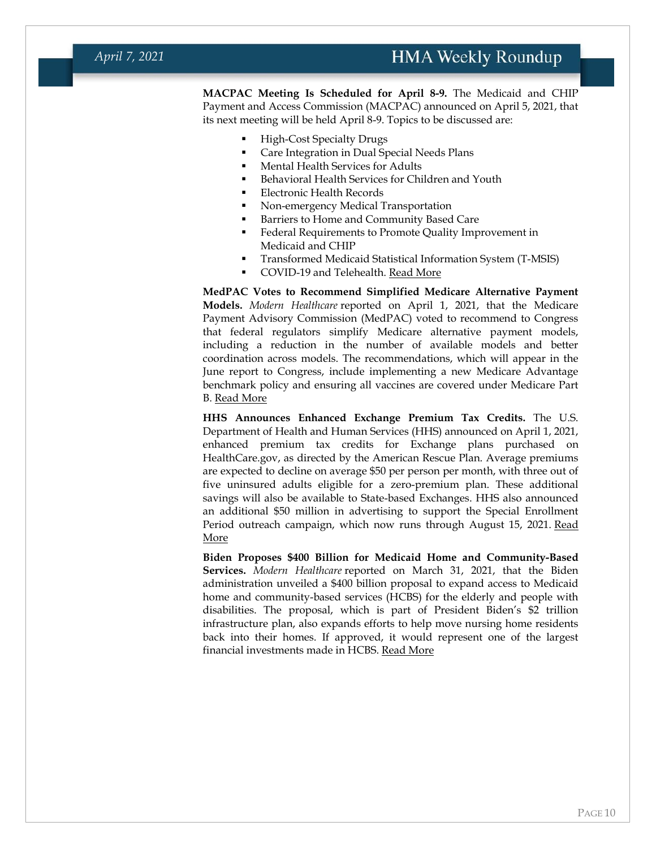**MACPAC Meeting Is Scheduled for April 8-9.** The Medicaid and CHIP Payment and Access Commission (MACPAC) announced on April 5, 2021, that its next meeting will be held April 8-9. Topics to be discussed are:

- **High-Cost Specialty Drugs**
- Care Integration in Dual Special Needs Plans
- Mental Health Services for Adults
- Behavioral Health Services for Children and Youth
- Electronic Health Records
- Non-emergency Medical Transportation
- Barriers to Home and Community Based Care
- Federal Requirements to Promote Quality Improvement in Medicaid and CHIP
- Transformed Medicaid Statistical Information System (T-MSIS)
- COVID-19 and Telehealth. [Read More](https://www.macpac.gov/public_meeting/april-2021-macpac-public-meeting/)

**MedPAC Votes to Recommend Simplified Medicare Alternative Payment Models.** *Modern Healthcare* reported on April 1, 2021, that the Medicare Payment Advisory Commission (MedPAC) voted to recommend to Congress that federal regulators simplify Medicare alternative payment models, including a reduction in the number of available models and better coordination across models. The recommendations, which will appear in the June report to Congress, include implementing a new Medicare Advantage benchmark policy and ensuring all vaccines are covered under Medicare Part B. [Read More](https://www.modernhealthcare.com/medicare/medpac-calls-fewer-pay-models-cutting-medicare-advantage-spending)

**HHS Announces Enhanced Exchange Premium Tax Credits.** The U.S. Department of Health and Human Services (HHS) announced on April 1, 2021, enhanced premium tax credits for Exchange plans purchased on HealthCare.gov, as directed by the American Rescue Plan. Average premiums are expected to decline on average \$50 per person per month, with three out of five uninsured adults eligible for a zero-premium plan. These additional savings will also be available to State-based Exchanges. HHS also announced an additional \$50 million in advertising to support the Special Enrollment Period outreach campaign, which now runs through August 15, 2021. Read [More](https://www.cms.gov/newsroom/press-releases/hhs-secretary-becerra-announces-reduced-costs-and-expanded-access-available-marketplace-health)

**Biden Proposes \$400 Billion for Medicaid Home and Community-Based Services.** *Modern Healthcare* reported on March 31, 2021, that the Biden administration unveiled a \$400 billion proposal to expand access to Medicaid home and community-based services (HCBS) for the elderly and people with disabilities. The proposal, which is part of President Biden's \$2 trillion infrastructure plan, also expands efforts to help move nursing home residents back into their homes. If approved, it would represent one of the largest financial investments made in HCBS. [Read More](https://www.modernhealthcare.com/politics-policy/biden-pushes-home-health-medicaid-coverage-400-billion-funding)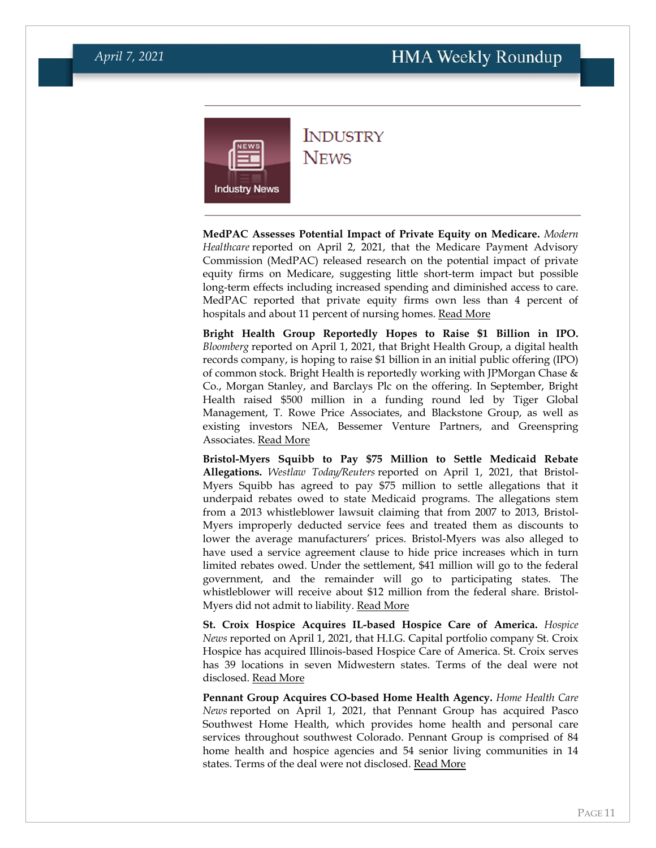<span id="page-10-0"></span>

#### **INDUSTRY NEWS**

**MedPAC Assesses Potential Impact of Private Equity on Medicare.** *Modern Healthcare* reported on April 2, 2021, that the Medicare Payment Advisory Commission (MedPAC) released research on the potential impact of private equity firms on Medicare, suggesting little short-term impact but possible long-term effects including increased spending and diminished access to care. MedPAC reported that private equity firms own less than 4 percent of hospitals and about 11 percent of nursing homes. Read [More](https://www.modernhealthcare.com/finance/private-equity-could-increase-long-term-medicare-spending-medpac-says)

**Bright Health Group Reportedly Hopes to Raise \$1 Billion in IPO.**  *Bloomberg* reported on April 1, 2021, that Bright Health Group, a digital health records company, is hoping to raise \$1 billion in an initial public offering (IPO) of common stock. Bright Health is reportedly working with JPMorgan Chase & Co., Morgan Stanley, and Barclays Plc on the offering. In September, Bright Health raised \$500 million in a funding round led by Tiger Global Management, T. Rowe Price Associates, and Blackstone Group, as well as existing investors NEA, Bessemer Venture Partners, and Greenspring Associates. [Read More](https://www.bloomberg.com/news/articles/2021-04-01/bright-health-is-said-to-plan-ipo-to-raise-1-billion-or-more)

**Bristol-Myers Squibb to Pay \$75 Million to Settle Medicaid Rebate Allegations.** *Westlaw Today/Reuters* reported on April 1, 2021, that Bristol-Myers Squibb has agreed to pay \$75 million to settle allegations that it underpaid rebates owed to state Medicaid programs. The allegations stem from a 2013 whistleblower lawsuit claiming that from 2007 to 2013, Bristol-Myers improperly deducted service fees and treated them as discounts to lower the average manufacturers' prices. Bristol-Myers was also alleged to have used a service agreement clause to hide price increases which in turn limited rebates owed. Under the settlement, \$41 million will go to the federal government, and the remainder will go to participating states. The whistleblower will receive about \$12 million from the federal share. Bristol-Myers did not admit to liability. [Read More](https://today.westlaw.com/Document/I14f15750933611eba611ab8310549db5/View/FullText.html)

**St. Croix Hospice Acquires IL-based Hospice Care of America.** *Hospice News* reported on April 1, 2021, that H.I.G. Capital portfolio company St. Croix Hospice has acquired Illinois-based Hospice Care of America. St. Croix serves has 39 locations in seven Midwestern states. Terms of the deal were not disclosed. [Read More](https://hospicenews.com/2021/04/01/st-croix-enters-illinois-market-with-hospice-care-of-america-purchase/)

**Pennant Group Acquires CO-based Home Health Agency.** *Home Health Care News* reported on April 1, 2021, that Pennant Group has acquired Pasco Southwest Home Health, which provides home health and personal care services throughout southwest Colorado. Pennant Group is comprised of 84 home health and hospice agencies and 54 senior living communities in 14 states. Terms of the deal were not disclosed. [Read More](https://homehealthcarenews.com/2021/04/the-pennant-group-acquires-colorado-home-health-agency/)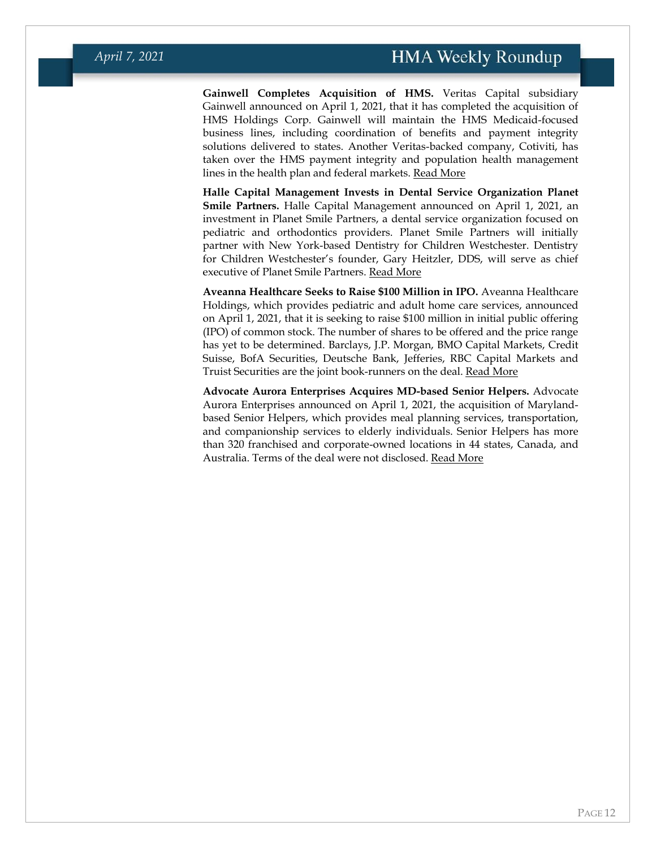**Gainwell Completes Acquisition of HMS.** Veritas Capital subsidiary Gainwell announced on April 1, 2021, that it has completed the acquisition of HMS Holdings Corp. Gainwell will maintain the HMS Medicaid-focused business lines, including coordination of benefits and payment integrity solutions delivered to states. Another Veritas-backed company, Cotiviti, has taken over the HMS payment integrity and population health management lines in the health plan and federal markets. [Read More](https://www.businesswire.com/news/home/20210401005826/en/Veritas-Capital-Backed-Gainwell-Completes-Acquisition-of-HMS)

**Halle Capital Management Invests in Dental Service Organization Planet Smile Partners.** Halle Capital Management announced on April 1, 2021, an investment in Planet Smile Partners, a dental service organization focused on pediatric and orthodontics providers. Planet Smile Partners will initially partner with New York-based Dentistry for Children Westchester. Dentistry for Children Westchester's founder, Gary Heitzler, DDS, will serve as chief executive of Planet Smile Partners. [Read More](https://www.businesswire.com/news/home/20210401005438/en/Halle-Capital-Management-Announces-Investment-in-Planet-Smile-Partners-a-Newly-Formed-Dental-Service-Organization-Focused-on-Pediatric-Dentistry-and-Orthodontics)

**Aveanna Healthcare Seeks to Raise \$100 Million in IPO.** Aveanna Healthcare Holdings, which provides pediatric and adult home care services, announced on April 1, 2021, that it is seeking to raise \$100 million in initial public offering (IPO) of common stock. The number of shares to be offered and the price range has yet to be determined. Barclays, J.P. Morgan, BMO Capital Markets, Credit Suisse, BofA Securities, Deutsche Bank, Jefferies, RBC Capital Markets and Truist Securities are the joint book-runners on the deal. [Read More](https://www.globenewswire.com/news-release/2021/04/01/2203737/0/en/Aveanna-Files-Registration-Statement-for-Proposed-Initial-Public-Offering.html)

**Advocate Aurora Enterprises Acquires MD-based Senior Helpers.** Advocate Aurora Enterprises announced on April 1, 2021, the acquisition of Marylandbased Senior Helpers, which provides meal planning services, transportation, and companionship services to elderly individuals. Senior Helpers has more than 320 franchised and corporate-owned locations in 44 states, Canada, and Australia. Terms of the deal were not disclosed. [Read More](https://homehealthcarenews.com/2021/04/we-own-the-full-health-care-continuum-advocate-aurora-enterprises-acquires-senior-helpers/)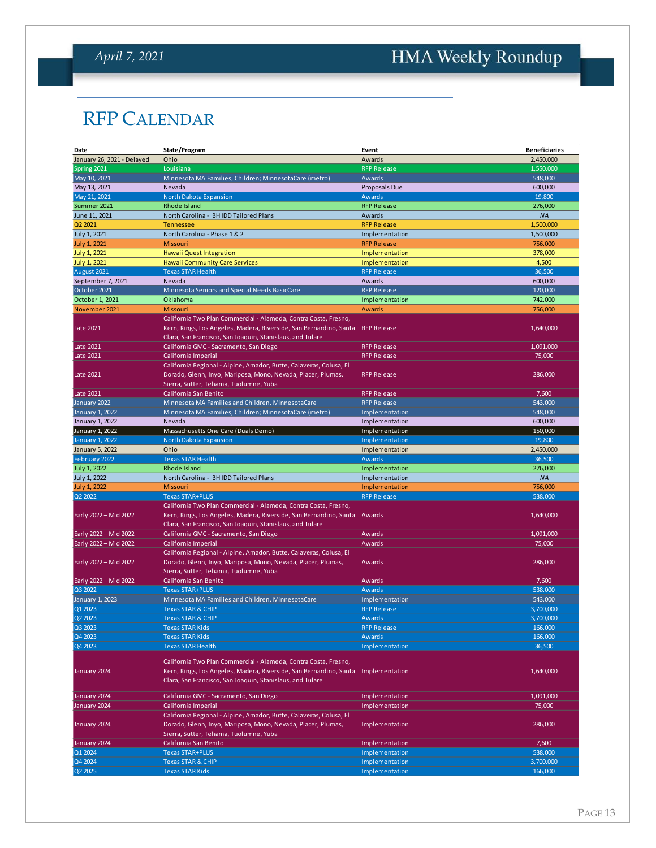# <span id="page-12-0"></span>HMA Weekly Roundup

# RFP CALENDAR

| Date                       | State/Program                                                      | Event              | <b>Beneficiaries</b>   |
|----------------------------|--------------------------------------------------------------------|--------------------|------------------------|
| January 26, 2021 - Delayed | Ohio                                                               | Awards             | 2,450,000              |
| Spring 2021                | Louisiana                                                          | <b>RFP Release</b> | 1,550,000              |
| May 10, 2021               | Minnesota MA Families, Children; MinnesotaCare (metro)             | Awards             | 548,000                |
| May 13, 2021               | Nevada                                                             | Proposals Due      | 600,000                |
| May 21, 2021               | North Dakota Expansion                                             | Awards             | 19,800                 |
| Summer 2021                | Rhode Island                                                       | <b>RFP Release</b> | 276,000                |
| June 11, 2021              | North Carolina - BH IDD Tailored Plans                             | Awards             | <b>NA</b>              |
| Q2 2021                    | <b>Tennessee</b>                                                   | <b>RFP Release</b> | 1,500,000              |
| July 1, 2021               | North Carolina - Phase 1 & 2                                       | Implementation     | 1,500,000              |
|                            |                                                                    | <b>RFP Release</b> |                        |
| July 1, 2021               | <b>Missouri</b>                                                    | Implementation     | 756,000                |
| <b>July 1, 2021</b>        | <b>Hawaii Quest Integration</b>                                    |                    | 378,000                |
| <b>July 1, 2021</b>        | <b>Hawaii Community Care Services</b>                              | Implementation     | 4,500                  |
| August 2021                | <b>Texas STAR Health</b>                                           | <b>RFP Release</b> | 36,500                 |
| September 7, 2021          | Nevada                                                             | Awards             | 600,000                |
| October 2021               | Minnesota Seniors and Special Needs BasicCare                      | <b>RFP Release</b> | 120.000                |
| October 1, 2021            | Oklahoma                                                           | Implementation     | 742,000                |
| November 2021              | Missouri                                                           | Awards             | 756,000                |
|                            | California Two Plan Commercial - Alameda, Contra Costa, Fresno,    |                    |                        |
| Late 2021                  | Kern, Kings, Los Angeles, Madera, Riverside, San Bernardino, Santa | <b>RFP Release</b> | 1,640,000              |
|                            | Clara, San Francisco, San Joaquin, Stanislaus, and Tulare          |                    |                        |
| Late 2021                  | California GMC - Sacramento, San Diego                             | <b>RFP Release</b> | 1,091,000              |
| <b>Late 2021</b>           | California Imperial                                                | <b>RFP Release</b> | 75,000                 |
|                            | California Regional - Alpine, Amador, Butte, Calaveras, Colusa, El |                    |                        |
| <b>Late 2021</b>           | Dorado, Glenn, Inyo, Mariposa, Mono, Nevada, Placer, Plumas,       | <b>RFP Release</b> | 286,000                |
|                            | Sierra, Sutter, Tehama, Tuolumne, Yuba                             |                    |                        |
| Late 2021                  | California San Benito                                              | <b>RFP Release</b> | 7,600                  |
| January 2022               | Minnesota MA Families and Children, MinnesotaCare                  | <b>RFP Release</b> | 543,000                |
| January 1, 2022            | Minnesota MA Families, Children; MinnesotaCare (metro)             | Implementation     | 548,000                |
|                            |                                                                    |                    |                        |
| January 1, 2022            | Nevada                                                             | Implementation     | 600,000                |
| January 1, 2022            | Massachusetts One Care (Duals Demo)                                | Implementation     | 150,000                |
| <b>January 1, 2022</b>     | North Dakota Expansion                                             | Implementation     | 19.800                 |
| January 5, 2022            | Ohio                                                               | Implementation     | 2,450,000              |
| February 2022              | <b>Texas STAR Health</b>                                           | Awards             | 36,500                 |
| July 1, 2022               | Rhode Island                                                       | Implementation     | 276,000                |
| July 1, 2022               | North Carolina - BH IDD Tailored Plans                             | Implementation     | <b>NA</b>              |
| <b>July 1, 2022</b>        | <b>Missouri</b>                                                    | Implementation     | 756,000                |
| Q2 2022                    | <b>Texas STAR+PLUS</b>                                             | <b>RFP Release</b> | 538,000                |
|                            | California Two Plan Commercial - Alameda, Contra Costa, Fresno,    |                    |                        |
| Early 2022 - Mid 2022      | Kern, Kings, Los Angeles, Madera, Riverside, San Bernardino, Santa | Awards             | 1,640,000              |
|                            | Clara, San Francisco, San Joaquin, Stanislaus, and Tulare          |                    |                        |
| Early 2022 - Mid 2022      | California GMC - Sacramento, San Diego                             | Awards             | 1,091,000              |
| Early 2022 - Mid 2022      | California Imperial                                                | Awards             | 75,000                 |
|                            | California Regional - Alpine, Amador, Butte, Calaveras, Colusa, El |                    |                        |
| Early 2022 - Mid 2022      | Dorado, Glenn, Inyo, Mariposa, Mono, Nevada, Placer, Plumas,       | Awards             | 286,000                |
|                            | Sierra, Sutter, Tehama, Tuolumne, Yuba                             |                    |                        |
| Early 2022 - Mid 2022      | California San Benito                                              | Awards             | 7,600                  |
| Q3 2022                    | <b>Texas STAR+PLUS</b>                                             | Awards             | 538,000                |
|                            | Minnesota MA Families and Children, MinnesotaCare                  | Implementation     | 543,000                |
| January 1, 2023            |                                                                    |                    |                        |
| Q1 2023                    | <b>Texas STAR &amp; CHIP</b>                                       | <b>RFP Release</b> | 3,700,000<br>3.700.000 |
| Q2 2023                    | <b>Texas STAR &amp; CHIP</b>                                       | Awards             |                        |
| Q3 2023                    | <b>Texas STAR Kids</b>                                             | <b>RFP Release</b> | 166,000                |
| Q4 2023                    | <b>Texas STAR Kids</b>                                             | Awards             | 166,000                |
| Q4 2023                    | <b>Texas STAR Health</b>                                           | Implementation     | 36,500                 |
|                            | California Two Plan Commercial - Alameda, Contra Costa, Fresno,    |                    |                        |
| January 2024               |                                                                    |                    | 1,640,000              |
|                            | Kern, Kings, Los Angeles, Madera, Riverside, San Bernardino, Santa | Implementation     |                        |
|                            | Clara, San Francisco, San Joaquin, Stanislaus, and Tulare          |                    |                        |
| January 2024               | California GMC - Sacramento, San Diego                             | Implementation     | 1,091,000              |
| January 2024               | California Imperial                                                | Implementation     | 75,000                 |
|                            | California Regional - Alpine, Amador, Butte, Calaveras, Colusa, El |                    |                        |
|                            | Dorado, Glenn, Inyo, Mariposa, Mono, Nevada, Placer, Plumas,       |                    |                        |
| January 2024               |                                                                    | Implementation     | 286,000                |
|                            | Sierra, Sutter, Tehama, Tuolumne, Yuba                             |                    |                        |
| January 2024               | California San Benito                                              | Implementation     | 7,600                  |
| Q1 2024                    | <b>Texas STAR+PLUS</b>                                             | Implementation     | 538,000                |
| Q4 2024                    | <b>Texas STAR &amp; CHIP</b>                                       | Implementation     | 3,700,000              |
| Q2 2025                    | <b>Texas STAR Kids</b>                                             | Implementation     | 166,000                |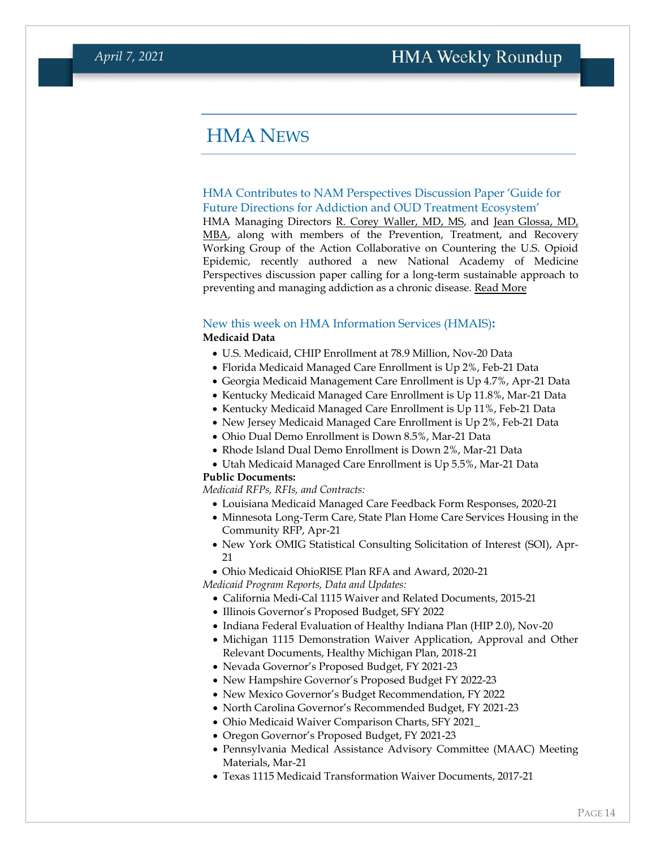#### <span id="page-13-0"></span>HMA NEWS

#### <span id="page-13-1"></span>HMA Contributes to NAM Perspectives Discussion Paper 'Guide for Future Directions for Addiction and OUD Treatment Ecosystem'

HMA Managing Directors [R. Corey Waller, MD, MS,](https://www.healthmanagement.com/our-team/staff-directory/name/corey-waller/) and [Jean Glossa, MD,](https://www.healthmanagement.com/our-team/staff-directory/name/jean-glossa/)  [MBA,](https://www.healthmanagement.com/our-team/staff-directory/name/jean-glossa/) along with members of the Prevention, Treatment, and Recovery Working Group of the Action Collaborative on Countering the U.S. Opioid Epidemic, recently authored a new National Academy of Medicine Perspectives discussion paper calling for a long-term sustainable approach to preventing and managing addiction as a chronic disease. [Read More](https://www.healthmanagement.com/knowledge-share/briefs-reports/hma-contributes-to-nam-perspectives-discussion-paper-guide-for-future-directions-for-addiction-and-oud-treatment-ecosystem/)

#### New this week on HMA Information Services (HMAIS)**: Medicaid Data**

- U.S. Medicaid, CHIP Enrollment at 78.9 Million, Nov-20 Data
- Florida Medicaid Managed Care Enrollment is Up 2%, Feb-21 Data
- Georgia Medicaid Management Care Enrollment is Up 4.7%, Apr-21 Data
- Kentucky Medicaid Managed Care Enrollment is Up 11.8%, Mar-21 Data
- Kentucky Medicaid Managed Care Enrollment is Up 11%, Feb-21 Data
- New Jersey Medicaid Managed Care Enrollment is Up 2%, Feb-21 Data
- Ohio Dual Demo Enrollment is Down 8.5%, Mar-21 Data
- Rhode Island Dual Demo Enrollment is Down 2%, Mar-21 Data
- Utah Medicaid Managed Care Enrollment is Up 5.5%, Mar-21 Data

#### **Public Documents:**

*Medicaid RFPs, RFIs, and Contracts:*

- Louisiana Medicaid Managed Care Feedback Form Responses, 2020-21
- Minnesota Long-Term Care, State Plan Home Care Services Housing in the Community RFP, Apr-21
- New York OMIG Statistical Consulting Solicitation of Interest (SOI), Apr-21
- Ohio Medicaid OhioRISE Plan RFA and Award, 2020-21

*Medicaid Program Reports, Data and Updates:*

- California Medi-Cal 1115 Waiver and Related Documents, 2015-21
- Illinois Governor's Proposed Budget, SFY 2022
- Indiana Federal Evaluation of Healthy Indiana Plan (HIP 2.0), Nov-20
- Michigan 1115 Demonstration Waiver Application, Approval and Other Relevant Documents, Healthy Michigan Plan, 2018-21
- Nevada Governor's Proposed Budget, FY 2021-23
- New Hampshire Governor's Proposed Budget FY 2022-23
- New Mexico Governor's Budget Recommendation, FY 2022
- North Carolina Governor's Recommended Budget, FY 2021-23
- Ohio Medicaid Waiver Comparison Charts, SFY 2021\_
- Oregon Governor's Proposed Budget, FY 2021-23
- Pennsylvania Medical Assistance Advisory Committee (MAAC) Meeting Materials, Mar-21
- Texas 1115 Medicaid Transformation Waiver Documents, 2017-21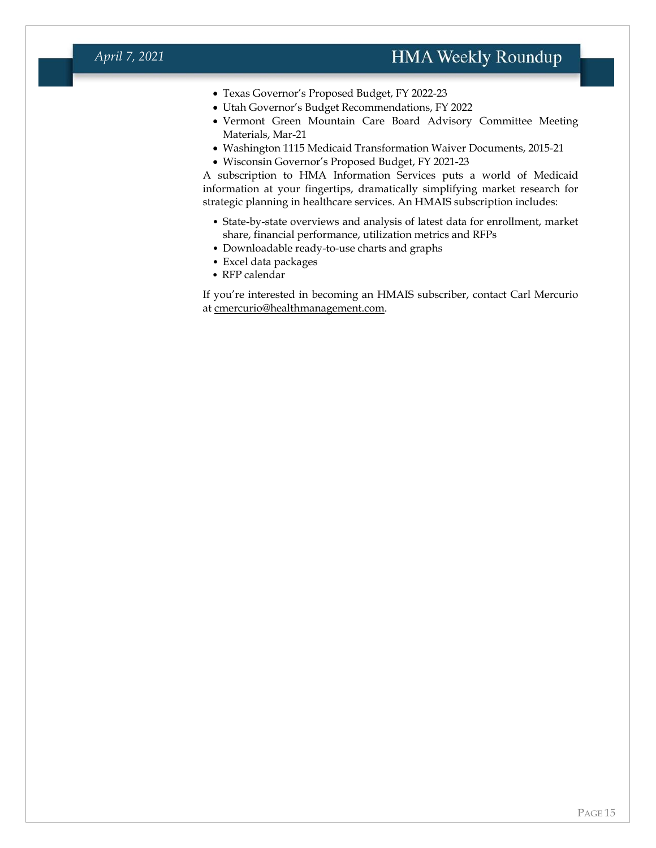#### *April 7, 2021*

- Texas Governor's Proposed Budget, FY 2022-23
- Utah Governor's Budget Recommendations, FY 2022
- Vermont Green Mountain Care Board Advisory Committee Meeting Materials, Mar-21
- Washington 1115 Medicaid Transformation Waiver Documents, 2015-21
- Wisconsin Governor's Proposed Budget, FY 2021-23

A subscription to HMA Information Services puts a world of Medicaid information at your fingertips, dramatically simplifying market research for strategic planning in healthcare services. An HMAIS subscription includes:

- State-by-state overviews and analysis of latest data for enrollment, market share, financial performance, utilization metrics and RFPs
- Downloadable ready-to-use charts and graphs
- Excel data packages
- RFP calendar

If you're interested in becoming an HMAIS subscriber, contact Carl Mercurio at [cmercurio@healthmanagement.com.](mailto:cmercurio@healthmanagement.com)